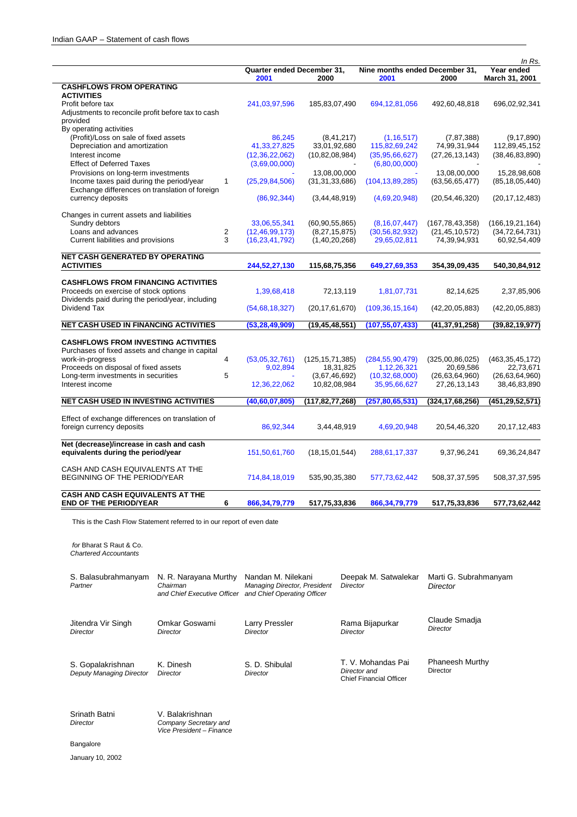|                                                    |                                    |                    |                                        |                    | In Rs.                       |
|----------------------------------------------------|------------------------------------|--------------------|----------------------------------------|--------------------|------------------------------|
|                                                    | Quarter ended December 31,<br>2001 | 2000               | Nine months ended December 31,<br>2001 | 2000               | Year ended<br>March 31, 2001 |
| <b>CASHFLOWS FROM OPERATING</b>                    |                                    |                    |                                        |                    |                              |
| <b>ACTIVITIES</b>                                  |                                    |                    |                                        |                    |                              |
| Profit before tax                                  | 241,03,97,596                      | 185,83,07,490      | 694, 12, 81, 056                       | 492,60,48,818      | 696,02,92,341                |
| Adjustments to reconcile profit before tax to cash |                                    |                    |                                        |                    |                              |
| provided                                           |                                    |                    |                                        |                    |                              |
| By operating activities                            |                                    |                    |                                        |                    |                              |
| (Profit)/Loss on sale of fixed assets              | 86,245                             | (8, 41, 217)       | (1, 16, 517)                           | (7, 87, 388)       | (9, 17, 890)                 |
| Depreciation and amortization                      | 41,33,27,825                       | 33,01,92,680       | 115,82,69,242                          | 74,99,31,944       | 112,89,45,152                |
| Interest income                                    | (12, 36, 22, 062)                  | (10, 82, 08, 984)  | (35, 95, 66, 627)                      | (27, 26, 13, 143)  | (38, 46, 83, 890)            |
| <b>Effect of Deferred Taxes</b>                    | (3,69,00,000)                      |                    | (6,80,00,000)                          |                    |                              |
| Provisions on long-term investments                |                                    | 13,08,00,000       |                                        | 13,08,00,000       | 15,28,98,608                 |
| Income taxes paid during the period/year           | $\mathbf{1}$<br>(25, 29, 84, 506)  | (31, 31, 33, 686)  | (104, 13, 89, 285)                     | (63, 56, 65, 477)  | (85, 18, 05, 440)            |
| Exchange differences on translation of foreign     |                                    |                    |                                        |                    |                              |
| currency deposits                                  | (86, 92, 344)                      | (3, 44, 48, 919)   | (4,69,20,948)                          | (20, 54, 46, 320)  | (20, 17, 12, 483)            |
|                                                    |                                    |                    |                                        |                    |                              |
| Changes in current assets and liabilities          |                                    |                    |                                        |                    |                              |
| Sundry debtors                                     | 33,06,55,341                       | (60, 90, 55, 865)  | (8, 16, 07, 447)                       | (167, 78, 43, 358) | (166, 19, 21, 164)           |
| Loans and advances                                 | 2<br>(12, 46, 99, 173)             | (8, 27, 15, 875)   | (30, 56, 82, 932)                      | (21, 45, 10, 572)  | (34, 72, 64, 731)            |
| Current liabilities and provisions                 | 3<br>(16, 23, 41, 792)             | (1,40,20,268)      | 29,65,02,811                           | 74,39,94,931       | 60,92,54,409                 |
|                                                    |                                    |                    |                                        |                    |                              |
| <b>NET CASH GENERATED BY OPERATING</b>             |                                    |                    |                                        |                    |                              |
| <b>ACTIVITIES</b>                                  | 244,52,27,130                      | 115,68,75,356      | 649,27,69,353                          | 354,39,09,435      | 540,30,84,912                |
|                                                    |                                    |                    |                                        |                    |                              |
| <b>CASHFLOWS FROM FINANCING ACTIVITIES</b>         |                                    |                    |                                        |                    |                              |
| Proceeds on exercise of stock options              | 1,39,68,418                        | 72,13,119          | 1,81,07,731                            | 82,14,625          | 2,37,85,906                  |
| Dividends paid during the period/year, including   |                                    |                    |                                        |                    |                              |
| Dividend Tax                                       | (54,68,18,327)                     | (20, 17, 61, 670)  | (109, 36, 15, 164)                     | (42, 20, 05, 883)  | (42, 20, 05, 883)            |
|                                                    |                                    |                    |                                        |                    |                              |
| <b>NET CASH USED IN FINANCING ACTIVITIES</b>       | (53, 28, 49, 909)                  | (19, 45, 48, 551)  | (107, 55, 07, 433)                     | (41,37,91,258)     | (39, 82, 19, 977)            |
|                                                    |                                    |                    |                                        |                    |                              |
| <b>CASHFLOWS FROM INVESTING ACTIVITIES</b>         |                                    |                    |                                        |                    |                              |
| Purchases of fixed assets and change in capital    |                                    |                    |                                        |                    |                              |
| work-in-progress                                   | 4<br>(53,05,32,761)                | (125, 15, 71, 385) | (284, 55, 90, 479)                     | (325,00,86,025)    | (463, 35, 45, 172)           |
| Proceeds on disposal of fixed assets               | 9,02,894                           | 18,31,825          | 1,12,26,321                            | 20,69,586          | 22,73,671                    |
| Long-term investments in securities                | 5                                  | (3,67,46,692)      | (10, 32, 68, 000)                      | (26, 63, 64, 960)  | (26, 63, 64, 960)            |
| Interest income                                    | 12,36,22,062                       | 10,82,08,984       | 35,95,66,627                           | 27, 26, 13, 143    | 38,46,83,890                 |
| <b>NET CASH USED IN INVESTING ACTIVITIES</b>       | (40, 60, 07, 805)                  | (117,82,77,268)    | (257, 80, 65, 531)                     | (324,17,68,256)    | (451,29,52,571)              |
|                                                    |                                    |                    |                                        |                    |                              |
| Effect of exchange differences on translation of   |                                    |                    |                                        |                    |                              |
| foreign currency deposits                          | 86,92,344                          | 3,44,48,919        | 4,69,20,948                            | 20,54,46,320       | 20, 17, 12, 483              |
|                                                    |                                    |                    |                                        |                    |                              |
| Net (decrease)/increase in cash and cash           |                                    |                    |                                        |                    |                              |
| equivalents during the period/year                 | 151,50,61,760                      | (18, 15, 01, 544)  | 288,61,17,337                          | 9,37,96,241        | 69, 36, 24, 847              |
|                                                    |                                    |                    |                                        |                    |                              |
| CASH AND CASH EQUIVALENTS AT THE                   |                                    |                    |                                        |                    |                              |
| BEGINNING OF THE PERIOD/YEAR                       | 714,84,18,019                      | 535,90,35,380      | 577,73,62,442                          | 508, 37, 37, 595   | 508,37,37,595                |
|                                                    |                                    |                    |                                        |                    |                              |
| <b>CASH AND CASH EQUIVALENTS AT THE</b>            |                                    |                    |                                        |                    |                              |
| <b>END OF THE PERIOD/YEAR</b>                      | 6<br>866, 34, 79, 779              | 517,75,33,836      | 866, 34, 79, 779                       | 517,75,33,836      | 577,73,62,442                |

This is the Cash Flow Statement referred to in our report of even date

 *for* Bharat S Raut & Co. *Chartered Accountants* 

| S. Balasubrahmanyam<br>Partner                | N. R. Narayana Murthy<br>Chairman<br>and Chief Executive Officer | Nandan M. Nilekani<br>Managing Director, President<br>and Chief Operating Officer | Deepak M. Satwalekar<br><b>Director</b>                              | Marti G. Subrahmanyam<br>Director  |
|-----------------------------------------------|------------------------------------------------------------------|-----------------------------------------------------------------------------------|----------------------------------------------------------------------|------------------------------------|
| Jitendra Vir Singh<br>Director                | Omkar Goswami<br>Director                                        | Larry Pressler<br>Director                                                        | Rama Bijapurkar<br>Director                                          | Claude Smadja<br>Director          |
| S. Gopalakrishnan<br>Deputy Managing Director | K. Dinesh<br>Director                                            | S. D. Shibulal<br>Director                                                        | T. V. Mohandas Pai<br>Director and<br><b>Chief Financial Officer</b> | <b>Phaneesh Murthy</b><br>Director |

| Srinath Batni | V. Balakrishnan          |
|---------------|--------------------------|
| Director      | Company Secretary and    |
|               | Vice President – Finance |

Bangalore

January 10, 2002